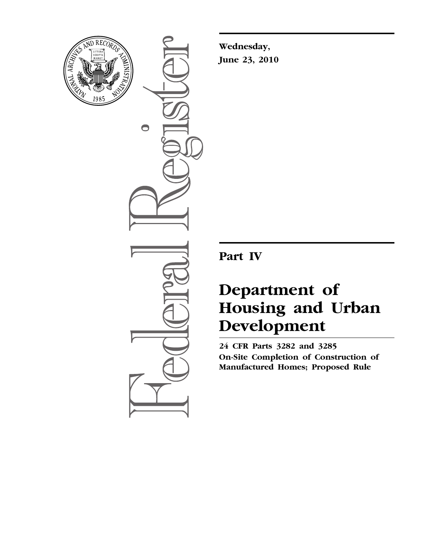

 $\bigcirc$ 

**Wednesday, June 23, 2010** 

**Part IV** 

# **Department of Housing and Urban Development**

**24 CFR Parts 3282 and 3285 On-Site Completion of Construction of Manufactured Homes; Proposed Rule**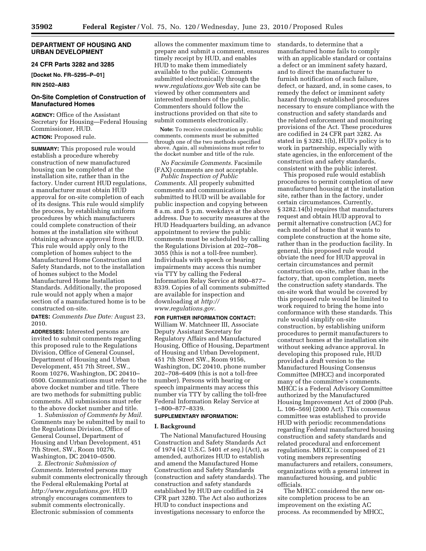# **DEPARTMENT OF HOUSING AND URBAN DEVELOPMENT**

# **24 CFR Parts 3282 and 3285**

**[Docket No. FR–5295–P–01]** 

# **RIN 2502–AI83**

# **On-Site Completion of Construction of Manufactured Homes**

**AGENCY:** Office of the Assistant Secretary for Housing—Federal Housing Commissioner, HUD. **ACTION:** Proposed rule.

**SUMMARY:** This proposed rule would establish a procedure whereby construction of new manufactured housing can be completed at the installation site, rather than in the factory. Under current HUD regulations, a manufacturer must obtain HUD approval for on-site completion of each of its designs. This rule would simplify the process, by establishing uniform procedures by which manufacturers could complete construction of their homes at the installation site without obtaining advance approval from HUD. This rule would apply only to the completion of homes subject to the Manufactured Home Construction and Safety Standards, not to the installation of homes subject to the Model Manufactured Home Installation Standards. Additionally, the proposed rule would not apply when a major section of a manufactured home is to be constructed on-site.

**DATES:** *Comments Due Date:* August 23, 2010.

**ADDRESSES:** Interested persons are invited to submit comments regarding this proposed rule to the Regulations Division, Office of General Counsel, Department of Housing and Urban Development, 451 7th Street, SW., Room 10276, Washington, DC 20410– 0500. Communications must refer to the above docket number and title. There are two methods for submitting public comments. All submissions must refer to the above docket number and title.

1. *Submission of Comments by Mail.*  Comments may be submitted by mail to the Regulations Division, Office of General Counsel, Department of Housing and Urban Development, 451 7th Street, SW., Room 10276, Washington, DC 20410–0500.

2. *Electronic Submission of Comments.* Interested persons may submit comments electronically through the Federal eRulemaking Portal at *[http://www.regulations.gov.](http://www.regulations.gov)* HUD strongly encourages commenters to submit comments electronically. Electronic submission of comments

allows the commenter maximum time to prepare and submit a comment, ensures timely receipt by HUD, and enables HUD to make them immediately available to the public. Comments submitted electronically through the *[www.regulations.gov](http://www.regulations.gov)* Web site can be viewed by other commenters and interested members of the public. Commenters should follow the instructions provided on that site to submit comments electronically.

**Note:** To receive consideration as public comments, comments must be submitted through one of the two methods specified above. Again, all submissions must refer to the docket number and title of the rule.

*No Facsimile Comments.* Facsimile (FAX) comments are not acceptable.

*Public Inspection of Public Comments.* All properly submitted comments and communications submitted to HUD will be available for public inspection and copying between 8 a.m. and 5 p.m. weekdays at the above address. Due to security measures at the HUD Headquarters building, an advance appointment to review the public comments must be scheduled by calling the Regulations Division at 202–708– 3055 (this is not a toll-free number). Individuals with speech or hearing impairments may access this number via TTY by calling the Federal Information Relay Service at 800–877– 8339. Copies of all comments submitted are available for inspection and downloading at *[http://](http://www.regulations.gov) [www.regulations.gov.](http://www.regulations.gov)* 

# **FOR FURTHER INFORMATION CONTACT:**

William W. Matchneer III, Associate Deputy Assistant Secretary for Regulatory Affairs and Manufactured Housing, Office of Housing, Department of Housing and Urban Development, 451 7th Street SW., Room 9156, Washington, DC 20410, phone number 202–708–6409 (this is not a toll-free number). Persons with hearing or speech impairments may access this number via TTY by calling the toll-free Federal Information Relay Service at 1–800–877–8339.

# **SUPPLEMENTARY INFORMATION:**

# **I. Background**

The National Manufactured Housing Construction and Safety Standards Act of 1974 (42 U.S.C. 5401 *et seq.*) (Act), as amended, authorizes HUD to establish and amend the Manufactured Home Construction and Safety Standards (construction and safety standards). The construction and safety standards established by HUD are codified in 24 CFR part 3280. The Act also authorizes HUD to conduct inspections and investigations necessary to enforce the

standards, to determine that a manufactured home fails to comply with an applicable standard or contains a defect or an imminent safety hazard, and to direct the manufacturer to furnish notification of such failure, defect, or hazard, and, in some cases, to remedy the defect or imminent safety hazard through established procedures necessary to ensure compliance with the construction and safety standards and the related enforcement and monitoring provisions of the Act. These procedures are codified in 24 CFR part 3282. As stated in § 3282.1(b), HUD's policy is to work in partnership, especially with state agencies, in the enforcement of the construction and safety standards, consistent with the public interest.

This proposed rule would establish procedures to permit completion of new manufactured housing at the installation site, rather than in the factory, under certain circumstances. Currently, § 3282.14(b) requires that manufacturers request and obtain HUD approval to permit alternative construction (AC) for each model of home that it wants to complete construction at the home site, rather than in the production facility. In general, this proposed rule would obviate the need for HUD approval in certain circumstances and permit construction on-site, rather than in the factory, that, upon completion, meets the construction safety standards. The on-site work that would be covered by this proposed rule would be limited to work required to bring the home into conformance with these standards. This rule would simplify on-site construction, by establishing uniform procedures to permit manufacturers to construct homes at the installation site without seeking advance approval. In developing this proposed rule, HUD provided a draft version to the Manufactured Housing Consensus Committee (MHCC) and incorporated many of the committee's comments. MHCC is a Federal Advisory Committee authorized by the Manufactured Housing Improvement Act of 2000 (Pub. L. 106–569) (2000 Act). This consensus committee was established to provide HUD with periodic recommendations regarding Federal manufactured housing construction and safety standards and related procedural and enforcement regulations. MHCC is composed of 21 voting members representing manufacturers and retailers, consumers, organizations with a general interest in manufactured housing, and public officials.

The MHCC considered the new onsite completion process to be an improvement on the existing AC process. As recommended by MHCC,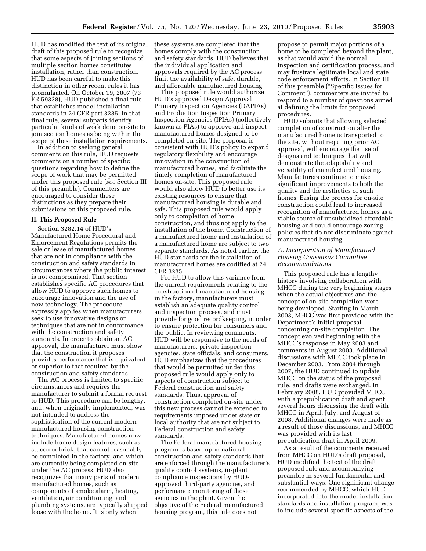HUD has modified the text of its original draft of this proposed rule to recognize that some aspects of joining sections of multiple section homes constitutes installation, rather than construction. HUD has been careful to make this distinction in other recent rules it has promulgated. On October 19, 2007 (73 FR 59338), HUD published a final rule that establishes model installation standards in 24 CFR part 3285. In that final rule, several subparts identify particular kinds of work done on-site to join section homes as being within the scope of these installation requirements.

In addition to seeking general comments on this rule, HUD requests comments on a number of specific questions regarding how to define the scope of work that may be permitted under this proposed rule (*see* Section III of this preamble). Commenters are encouraged to consider these distinctions as they prepare their submissions on this proposed rule.

#### **II. This Proposed Rule**

Section 3282.14 of HUD's Manufactured Home Procedural and Enforcement Regulations permits the sale or lease of manufactured homes that are not in compliance with the construction and safety standards in circumstances where the public interest is not compromised. That section establishes specific AC procedures that allow HUD to approve such homes to encourage innovation and the use of new technology. The procedure expressly applies when manufacturers seek to use innovative designs or techniques that are not in conformance with the construction and safety standards. In order to obtain an AC approval, the manufacturer must show that the construction it proposes provides performance that is equivalent or superior to that required by the construction and safety standards.

The AC process is limited to specific circumstances and requires the manufacturer to submit a formal request to HUD. This procedure can be lengthy, and, when originally implemented, was not intended to address the sophistication of the current modern manufactured housing construction techniques. Manufactured homes now include home design features, such as stucco or brick, that cannot reasonably be completed in the factory, and which are currently being completed on-site under the AC process. HUD also recognizes that many parts of modern manufactured homes, such as components of smoke alarm, heating, ventilation, air conditioning, and plumbing systems, are typically shipped loose with the home. It is only when

these systems are completed that the homes comply with the construction and safety standards. HUD believes that the individual application and approvals required by the AC process limit the availability of safe, durable, and affordable manufactured housing.

This proposed rule would authorize HUD's approved Design Approval Primary Inspection Agencies (DAPIAs) and Production Inspection Primary Inspection Agencies (IPIAs) (collectively known as PIAs) to approve and inspect manufactured homes designed to be completed on-site. The proposal is consistent with HUD's policy to expand regulatory flexibility and encourage innovation in the construction of manufactured homes, and facilitate the timely completion of manufactured homes on-site. This proposed rule would also allow HUD to better use its existing resources to ensure that manufactured housing is durable and safe. This proposed rule would apply only to completion of home construction, and thus not apply to the installation of the home. Construction of a manufactured home and installation of a manufactured home are subject to two separate standards. As noted earlier, the HUD standards for the installation of manufactured homes are codified at 24 CFR 3285.

For HUD to allow this variance from the current requirements relating to the construction of manufactured housing in the factory, manufacturers must establish an adequate quality control and inspection process, and must provide for good recordkeeping, in order to ensure protection for consumers and the public. In reviewing comments, HUD will be responsive to the needs of manufacturers, private inspection agencies, state officials, and consumers. HUD emphasizes that the procedures that would be permitted under this proposed rule would apply only to aspects of construction subject to Federal construction and safety standards. Thus, approval of construction completed on-site under this new process cannot be extended to requirements imposed under state or local authority that are not subject to Federal construction and safety standards.

The Federal manufactured housing program is based upon national construction and safety standards that are enforced through the manufacturer's quality control systems, in-plant compliance inspections by HUDapproved third-party agencies, and performance monitoring of those agencies in the plant. Given the objective of the Federal manufactured housing program, this rule does not

propose to permit major portions of a home to be completed beyond the plant, as that would avoid the normal inspection and certification process, and may frustrate legitimate local and state code enforcement efforts. In Section III of this preamble (''Specific Issues for Comment''), commenters are invited to respond to a number of questions aimed at defining the limits for proposed procedures.

HUD submits that allowing selected completion of construction after the manufactured home is transported to the site, without requiring prior AC approval, will encourage the use of designs and techniques that will demonstrate the adaptability and versatility of manufactured housing. Manufacturers continue to make significant improvements to both the quality and the aesthetics of such homes. Easing the process for on-site construction could lead to increased recognition of manufactured homes as a viable source of unsubsidized affordable housing and could encourage zoning policies that do not discriminate against manufactured housing.

# *A. Incorporation of Manufactured Housing Consensus Committee Recommendations*

This proposed rule has a lengthy history involving collaboration with MHCC during the very beginning stages when the actual objectives and the concept of on-site completion were being developed. Starting in March 2003, MHCC was first provided with the Department's initial proposal concerning on-site completion. The concept evolved beginning with the MHCC's response in May 2003 and comments in August 2003. Additional discussions with MHCC took place in December 2003. From 2004 through 2007, the HUD continued to update MHCC on the status of the proposed rule, and drafts were exchanged. In February 2008, HUD provided MHCC with a prepublication draft and spent several hours discussing the draft with MHCC in April, July, and August of 2008. Additional changes were made as a result of those discussions, and MHCC was provided with its last prepublication draft in April 2009.

As a result of the comments received from MHCC on HUD's draft proposal, HUD modified the text of the draft proposed rule and accompanying preamble in several fundamental and substantial ways. One significant change recommended by MHCC, which HUD incorporated into the model installation standards and installation program, was to include several specific aspects of the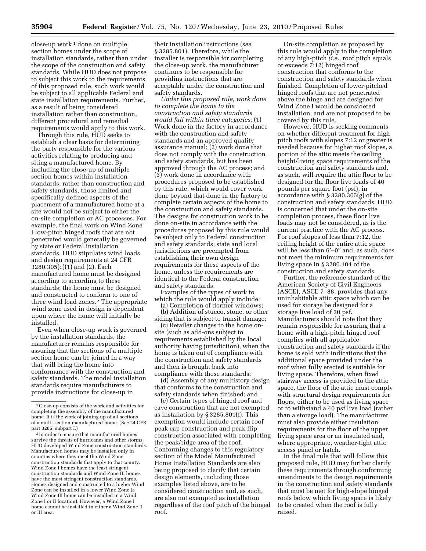$close-up$  work<sup>1</sup> done on multiple section homes under the scope of installation standards, rather than under the scope of the construction and safety standards. While HUD does not propose to subject this work to the requirements of this proposed rule, such work would be subject to all applicable Federal and state installation requirements. Further, as a result of being considered installation rather than construction, different procedural and remedial requirements would apply to this work.

Through this rule, HUD seeks to establish a clear basis for determining the party responsible for the various activities relating to producing and siting a manufactured home. By including the close-up of multiple section homes within installation standards, rather than construction and safety standards, those limited and specifically defined aspects of the placement of a manufactured home at a site would not be subject to either the on-site completion or AC processes. For example, the final work on Wind Zone I low-pitch hinged roofs that are not penetrated would generally be governed by state or Federal installation standards. HUD stipulates wind loads and design requirements at 24 CFR 3280.305(c)(1) and (2). Each manufactured home must be designed according to according to these standards; the home must be designed and constructed to conform to one of three wind load zones.2 The appropriate wind zone used in design is dependent upon where the home will initially be installed.

Even when close-up work is governed by the installation standards, the manufacturer remains responsible for assuring that the sections of a multiple section home can be joined in a way that will bring the home into conformance with the construction and safety standards. The model installation standards require manufacturers to provide instructions for close-up in

their installation instructions (*see*  § 3285.801). Therefore, while the installer is responsible for completing the close-up work, the manufacturer continues to be responsible for providing instructions that are acceptable under the construction and safety standards.

*Under this proposed rule, work done to complete the home to the construction and safety standards would fall within three categories:* (1) Work done in the factory in accordance with the construction and safety standards and an approved quality assurance manual; (2) work done that does not comply with the construction and safety standards, but has been approved through the AC process; and (3) work done in accordance with procedures proposed to be established by this rule, which would cover work done beyond that done in the factory to complete certain aspects of the home to the construction and safety standards. The designs for construction work to be done on-site in accordance with the procedures proposed by this rule would be subject only to Federal construction and safety standards; state and local jurisdictions are preempted from establishing their own design requirements for these aspects of the home, unless the requirements are identical to the Federal construction and safety standards.

Examples of the types of work to which the rule would apply include:

(a) Completion of dormer windows; (b) Addition of stucco, stone, or other siding that is subject to transit damage;

(c) Retailer changes to the home onsite (such as add-ons subject to requirements established by the local authority having jurisdiction), when the home is taken out of compliance with the construction and safety standards and then is brought back into compliance with those standards;

(d) Assembly of any multistory design that conforms to the construction and safety standards when finished; and

(e) Certain types of hinged roof and eave construction that are not exempted as installation by § 3285.801(f). This exemption would include certain roof peak cap construction and peak flip construction associated with completing the peak/ridge area of the roof. Conforming changes to this regulatory section of the Model Manufactured Home Installation Standards are also being proposed to clarify that certain design elements, including those examples listed above, are to be considered construction and, as such, are also not exempted as installation regardless of the roof pitch of the hinged roof.

On-site completion as proposed by this rule would apply to the completion of any high-pitch *(i.e.,* roof pitch equals or exceeds 7:12) hinged roof construction that conforms to the construction and safety standards when finished. Completion of lower-pitched hinged roofs that are not penetrated above the hinge and are designed for Wind Zone I would be considered installation, and are not proposed to be covered by this rule.

However, HUD is seeking comments on whether different treatment for high pitch roofs with slopes 7:12 or greater is needed because for higher roof slopes, a portion of the attic meets the ceiling height/living space requirements of the construction and safety standards and, as such, will require the attic floor to be designed for the floor live loads of 40 pounds per square foot (psf), in accordance with § 3280.305(g) of the construction and safety standards. HUD is concerned that under the on-site completion process, these floor live loads may not be considered, as is the current practice with the AC process. For roof slopes of less than 7:12, the ceiling height of the entire attic space will be less than 6′–0″ and, as such, does not meet the minimum requirements for living space in § 3280.104 of the construction and safety standards.

Further, the reference standard of the American Society of Civil Engineers (ASCE), ASCE 7–88, provides that any uninhabitable attic space which can be used for storage be designed for a storage live load of 20 psf. Manufacturers should note that they remain responsible for assuring that a home with a high-pitch hinged roof complies with all applicable construction and safety standards if the home is sold with indications that the additional space provided under the roof when fully erected is suitable for living space. Therefore, when fixed stairway access is provided to the attic space, the floor of the attic must comply with structural design requirements for floors, either to be used as living space or to withstand a 40 psf live load (rather than a storage load). The manufacturer must also provide either insulation requirements for the floor of the upper living space area or an insulated and, where appropriate, weather-tight attic access panel or hatch.

In the final rule that will follow this proposed rule, HUD may further clarify these requirements through conforming amendments to the design requirements in the construction and safety standards that must be met for high-slope hinged roofs below which living space is likely to be created when the roof is fully raised.

<sup>1</sup>Close-up consists of the work and activities for completing the assembly of the manufactured home. It is the work of joining up of all sections of a multi-section manufactured home. (*See* 24 CFR part 3285, subpart I.)

<sup>2</sup> In order to ensure that manufactured homes survive the threats of hurricanes and other storms, HUD developed Wind Zone construction standards. Manufactured homes may be installed only in counties where they meet the Wind Zone construction standards that apply to that county. Wind Zone I homes have the least stringent construction standards and Wind Zone III homes have the most stringent construction standards. Homes designed and constructed to a higher Wind Zone can be installed in a lower Wind Zone (a Wind Zone III home can be installed in a Wind Zone I or II location). However, a Wind Zone I home cannot be installed in either a Wind Zone II or III area.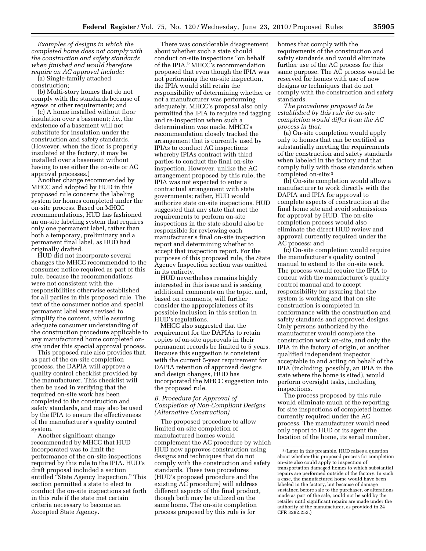*Examples of designs in which the completed home does not comply with the construction and safety standards when finished and would therefore require an AC approval include:* 

(a) Single-family attached construction;

(b) Multi-story homes that do not comply with the standards because of egress or other requirements; and

(c) A home installed without floor insulation over a basement; *i.e.,* the existence of a basement will not substitute for insulation under the construction and safety standards. (However, when the floor is properly insulated at the factory, it may be installed over a basement without having to use either the on-site or AC approval processes.)

Another change recommended by MHCC and adopted by HUD in this proposed rule concerns the labeling system for homes completed under the on-site process. Based on MHCC recommendations, HUD has fashioned an on-site labeling system that requires only one permanent label, rather than both a temporary, preliminary and a permanent final label, as HUD had originally drafted.

HUD did not incorporate several changes the MHCC recommended to the consumer notice required as part of this rule, because the recommendations were not consistent with the responsibilities otherwise established for all parties in this proposed rule. The text of the consumer notice and special permanent label were revised to simplify the content, while assuring adequate consumer understanding of the construction procedure applicable to any manufactured home completed onsite under this special approval process.

This proposed rule also provides that, as part of the on-site completion process, the DAPIA will approve a quality control checklist provided by the manufacturer. This checklist will then be used in verifying that the required on-site work has been completed to the construction and safety standards, and may also be used by the IPIA to ensure the effectiveness of the manufacturer's quality control system.

Another significant change recommended by MHCC that HUD incorporated was to limit the performance of the on-site inspections required by this rule to the IPIA. HUD's draft proposal included a section entitled "State Agency Inspection." This section permitted a state to elect to conduct the on-site inspections set forth in this rule if the state met certain criteria necessary to become an Accepted State Agency.

There was considerable disagreement about whether such a state should conduct on-site inspections ''on behalf of the IPIA.'' MHCC's recommendation proposed that even though the IPIA was not performing the on-site inspection, the IPIA would still retain the responsibility of determining whether or not a manufacturer was performing adequately. MHCC's proposal also only permitted the IPIA to require red tagging and re-inspection when such a determination was made. MHCC's recommendation closely tracked the arrangement that is currently used by IPIAs to conduct AC inspections whereby IPIAs contract with third parties to conduct the final on-site inspection. However, unlike the AC arrangement proposed by this rule, the IPIA was not expected to enter a contractual arrangement with state governments; rather, HUD would authorize state on-site inspections. HUD suggested that any state that met the requirements to perform on-site inspections in the state should also be responsible for reviewing each manufacturer's final on-site inspection report and determining whether to accept that inspection report. For the purposes of this proposed rule, the State Agency Inspection section was omitted in its entirety.

HUD nevertheless remains highly interested in this issue and is seeking additional comments on the topic, and, based on comments, will further consider the appropriateness of its possible inclusion in this section in HUD's regulations.

MHCC also suggested that the requirement for the DAPIAs to retain copies of on-site approvals in their permanent records be limited to 5 years. Because this suggestion is consistent with the current 5-year requirement for DAPIA retention of approved designs and design changes, HUD has incorporated the MHCC suggestion into the proposed rule.

# *B. Procedure for Approval of Completion of Non-Compliant Designs (Alternative Construction)*

The proposed procedure to allow limited on-site completion of manufactured homes would complement the AC procedure by which HUD now approves construction using designs and techniques that do not comply with the construction and safety standards. These two procedures (HUD's proposed procedure and the existing AC procedure) will address different aspects of the final product, though both may be utilized on the same home. The on-site completion process proposed by this rule is for

homes that comply with the requirements of the construction and safety standards and would eliminate further use of the AC process for this same purpose. The AC process would be reserved for homes with use of new designs or techniques that do not comply with the construction and safety standards.

*The procedures proposed to be established by this rule for on-site completion would differ from the AC process in that:* 

(a) On-site completion would apply only to homes that can be certified as substantially meeting the requirements of the construction and safety standards when labeled in the factory and that comply fully with those standards when completed on-site;3

(b) On-site completion would allow a manufacturer to work directly with the DAPIA and IPIA for approval to complete aspects of construction at the final home site and avoid submissions for approval by HUD. The on-site completion process would also eliminate the direct HUD review and approval currently required under the AC process; and

(c) On-site completion would require the manufacturer's quality control manual to extend to the on-site work. The process would require the IPIA to concur with the manufacturer's quality control manual and to accept responsibility for assuring that the system is working and that on-site construction is completed in conformance with the construction and safety standards and approved designs. Only persons authorized by the manufacturer would complete the construction work on-site, and only the IPIA in the factory of origin, or another qualified independent inspector acceptable to and acting on behalf of the IPIA (including, possibly, an IPIA in the state where the home is sited), would perform oversight tasks, including inspections.

The process proposed by this rule would eliminate much of the reporting for site inspections of completed homes currently required under the AC process. The manufacturer would need only report to HUD or its agent the location of the home, its serial number,

<sup>3</sup> (Later in this preamble, HUD raises a question about whether this proposed process for completion on-site also could apply to inspection of transportation damaged homes to which substantial repairs are performed outside of the factory. In such a case, the manufactured home would have been labeled in the factory, but because of damage sustained before sale to the purchaser, or alterations made as part of the sale, could not be sold by the retailer until significant repairs are made under the authority of the manufacturer, as provided in 24 CFR 3282.253.)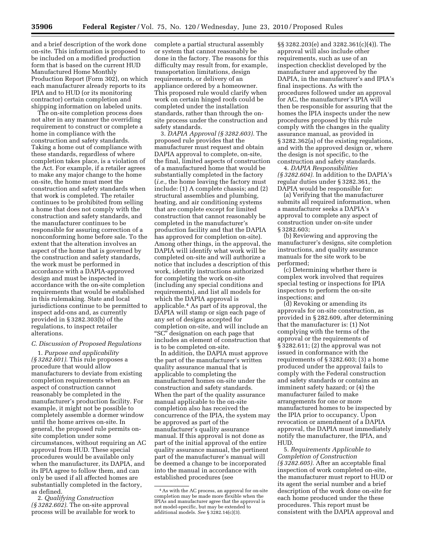and a brief description of the work done on-site. This information is proposed to be included on a modified production form that is based on the current HUD Manufactured Home Monthly Production Report (Form 302), on which each manufacturer already reports to its IPIA and to HUD (or its monitoring contractor) certain completion and shipping information on labeled units.

The on-site completion process does not alter in any manner the overriding requirement to construct or complete a home in compliance with the construction and safety standards. Taking a home out of compliance with these standards, regardless of where completion takes place, is a violation of the Act. For example, if a retailer agrees to make any major change to the home on-site, the home must meet the construction and safety standards when that work is completed. The retailer continues to be prohibited from selling a home that does not comply with the construction and safety standards, and the manufacturer continues to be responsible for assuring correction of a nonconforming home before sale. To the extent that the alteration involves an aspect of the home that is governed by the construction and safety standards, the work must be performed in accordance with a DAPIA-approved design and must be inspected in accordance with the on-site completion requirements that would be established in this rulemaking. State and local jurisdictions continue to be permitted to inspect add-ons and, as currently provided in § 3282.303(b) of the regulations, to inspect retailer alterations.

# *C. Discussion of Proposed Regulations*

1. *Purpose and applicability (§ 3282.601).* This rule proposes a procedure that would allow manufacturers to deviate from existing completion requirements when an aspect of construction cannot reasonably be completed in the manufacturer's production facility. For example, it might not be possible to completely assemble a dormer window until the home arrives on-site. In general, the proposed rule permits onsite completion under some circumstances, without requiring an AC approval from HUD. These special procedures would be available only when the manufacturer, its DAPIA, and its IPIA agree to follow them, and can only be used if all affected homes are substantially completed in the factory, as defined.

2. *Qualifying Construction (§ 3282.602).* The on-site approval process will be available for work to complete a partial structural assembly or system that cannot reasonably be done in the factory. The reasons for this difficulty may result from, for example, transportation limitations, design requirements, or delivery of an appliance ordered by a homeowner. This proposed rule would clarify when work on certain hinged roofs could be completed under the installation standards, rather than through the onsite process under the construction and safety standards.

3. *DAPIA Approval (§ 3282.603).* The proposed rule provides that the manufacturer must request and obtain DAPIA approval to complete, on-site, the final, limited aspects of construction of a manufactured home that would be substantially completed in the factory (*i.e.,* the home leaving the factory must include: (1) A complete chassis; and (2) structural assemblies and plumbing, heating, and air conditioning systems that are complete except for limited construction that cannot reasonably be completed in the manufacturer's production facility and that the DAPIA has approved for completion on-site). Among other things, in the approval, the DAPIA will identify what work will be completed on-site and will authorize a notice that includes a description of this work, identify instructions authorized for completing the work on-site (including any special conditions and requirements), and list all models for which the DAPIA approval is applicable.4 As part of its approval, the DAPIA will stamp or sign each page of any set of designs accepted for completion on-site, and will include an "SC" designation on each page that includes an element of construction that is to be completed on-site.

In addition, the DAPIA must approve the part of the manufacturer's written quality assurance manual that is applicable to completing the manufactured homes on-site under the construction and safety standards. When the part of the quality assurance manual applicable to the on-site completion also has received the concurrence of the IPIA, the system may be approved as part of the manufacturer's quality assurance manual. If this approval is not done as part of the initial approval of the entire quality assurance manual, the pertinent part of the manufacturer's manual will be deemed a change to be incorporated into the manual in accordance with established procedures (see

§§ 3282.203(e) and 3282.361(c)(4)). The approval will also include other requirements, such as use of an inspection checklist developed by the manufacturer and approved by the DAPIA, in the manufacturer's and IPIA's final inspections. As with the procedures followed under an approval for AC, the manufacturer's IPIA will then be responsible for assuring that the homes the IPIA inspects under the new procedures proposed by this rule comply with the changes in the quality assurance manual, as provided in § 3282.362(a) of the existing regulations, and with the approved design or, where the design is not specific, to the construction and safety standards.

4. *DAPIA Responsibilities (§ 3282.604).* In addition to the DAPIA's regular duties under § 3282.361, the DAPIA would be responsible for:

(a) Verifying that the manufacturer submits all required information, when a manufacturer seeks a DAPIA's approval to complete any aspect of construction under on-site under § 3282.603;

(b) Reviewing and approving the manufacturer's designs, site completion instructions, and quality assurance manuals for the site work to be performed;

(c) Determining whether there is complex work involved that requires special testing or inspections for IPIA inspectors to perform the on-site inspections; and

(d) Revoking or amending its approvals for on-site construction, as provided in § 282.609, after determining that the manufacturer is: (1) Not complying with the terms of the approval or the requirements of § 3282.611; (2) the approval was not issued in conformance with the requirements of § 3282.603; (3) a home produced under the approval fails to comply with the Federal construction and safety standards or contains an imminent safety hazard; or (4) the manufacturer failed to make arrangements for one or more manufactured homes to be inspected by the IPIA prior to occupancy. Upon revocation or amendment of a DAPIA approval, the DAPIA must immediately notify the manufacturer, the IPIA, and HUD.

5. *Requirements Applicable to Completion of Construction (§ 3282.605).* After an acceptable final inspection of work completed on-site, the manufacturer must report to HUD or its agent the serial number and a brief description of the work done on-site for each home produced under the these procedures. This report must be consistent with the DAPIA approval and

<sup>4</sup>As with the AC process, an approval for on-site completion may be made more flexible when the IPIAs and manufacturer agree that the approval is not model-specific, but may be extended to additional models. *See* § 3282.14(c)(3).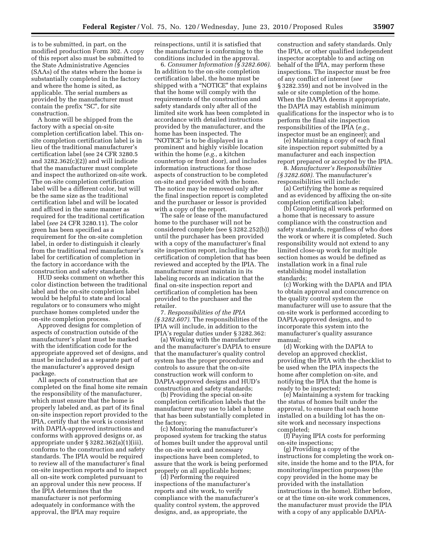is to be submitted, in part, on the modified production Form 302. A copy of this report also must be submitted to the State Administrative Agencies (SAAs) of the states where the home is substantially completed in the factory and where the home is sited, as applicable. The serial numbers as provided by the manufacturer must contain the prefix "SC", for site construction.

A home will be shipped from the factory with a special on-site completion certification label. This onsite completion certification label is in lieu of the traditional manufacturer's certification label (see 24 CFR 3280.5 and  $3282.362(c)(2)$  and will indicate that the manufacturer must complete and inspect the authorized on-site work. The on-site completion certification label will be a different color, but will be the same size as the traditional certification label and will be located and affixed in the same manner as required for the traditional certification label (*see* 24 CFR 3280.11). The color green has been specified as a requirement for the on-site completion label, in order to distinguish it clearly from the traditional red manufacturer's label for certification of completion in the factory in accordance with the construction and safety standards.

HUD seeks comment on whether this color distinction between the traditional label and the on-site completion label would be helpful to state and local regulators or to consumers who might purchase homes completed under the on-site completion process.

Approved designs for completion of aspects of construction outside of the manufacturer's plant must be marked with the identification code for the appropriate approved set of designs, and must be included as a separate part of the manufacturer's approved design package.

All aspects of construction that are completed on the final home site remain the responsibility of the manufacturer, which must ensure that the home is properly labeled and, as part of its final on-site inspection report provided to the IPIA, certify that the work is consistent with DAPIA-approved instructions and conforms with approved designs or, as appropriate under § 3282.362(a)(1)(iii), conforms to the construction and safety standards. The IPIA would be required to review all of the manufacturer's final on-site inspection reports and to inspect all on-site work completed pursuant to an approval under this new process. If the IPIA determines that the manufacturer is not performing adequately in conformance with the approval, the IPIA may require

reinspections, until it is satisfied that the manufacturer is conforming to the conditions included in the approval.

6. *Consumer Information (§ 3282.606).*  In addition to the on-site completion certification label, the home must be shipped with a ''NOTICE'' that explains that the home will comply with the requirements of the construction and safety standards only after all of the limited site work has been completed in accordance with detailed instructions provided by the manufacturer, and the home has been inspected. The ''NOTICE'' is to be displayed in a prominent and highly visible location within the home (*e.g.,* a kitchen countertop or front door), and includes information instructions for those aspects of construction to be completed on-site and provided with the home. The notice may be removed only after the final inspection report is completed and the purchaser or lessor is provided with a copy of the report.

The sale or lease of the manufactured home to the purchaser will not be considered complete (see § 3282.252(b)) until the purchaser has been provided with a copy of the manufacturer's final site inspection report, including the certification of completion that has been reviewed and accepted by the IPIA. The manufacturer must maintain in its labeling records an indication that the final on-site inspection report and certification of completion has been provided to the purchaser and the retailer.

7. *Responsibilities of the IPIA (§ 3282.607).* The responsibilities of the IPIA will include, in addition to the IPIA's regular duties under § 3282.362:

(a) Working with the manufacturer and the manufacturer's DAPIA to ensure that the manufacturer's quality control system has the proper procedures and controls to assure that the on-site construction work will conform to DAPIA-approved designs and HUD's construction and safety standards;

(b) Providing the special on-site completion certification labels that the manufacturer may use to label a home that has been substantially completed in the factory;

(c) Monitoring the manufacturer's proposed system for tracking the status of homes built under the approval until the on-site work and necessary inspections have been completed, to assure that the work is being performed properly on all applicable homes;

(d) Performing the required inspections of the manufacturer's reports and site work, to verify compliance with the manufacturer's quality control system, the approved designs, and, as appropriate, the

construction and safety standards. Only the IPIA, or other qualified independent inspector acceptable to and acting on behalf of the IPIA, may perform these inspections. The inspector must be free of any conflict of interest (*see*  § 3282.359) and not be involved in the sale or site completion of the home. When the DAPIA deems it appropriate, the DAPIA may establish minimum qualifications for the inspector who is to perform the final site inspection responsibilities of the IPIA (*e.g.,*  inspector must be an engineer); and

(e) Maintaining a copy of each final site inspection report submitted by a manufacturer and each inspection report prepared or accepted by the IPIA.

8. *Manufacturer's Responsibilities (§ 3282.608).* The manufacturer's responsibilities will include:

(a) Certifying the home as required and as evidenced by affixing the on-site completion certification label;

(b) Completing all work performed on a home that is necessary to assure compliance with the construction and safety standards, regardless of who does the work or where it is completed. Such responsibility would not extend to any limited close-up work for multiple section homes as would be defined as installation work in a final rule establishing model installation standards;

(c) Working with the DAPIA and IPIA to obtain approval and concurrence on the quality control system the manufacturer will use to assure that the on-site work is performed according to DAPIA-approved designs, and to incorporate this system into the manufacturer's quality assurance manual;

(d) Working with the DAPIA to develop an approved checklist, providing the IPIA with the checklist to be used when the IPIA inspects the home after completion on-site, and notifying the IPIA that the home is ready to be inspected;

(e) Maintaining a system for tracking the status of homes built under the approval, to ensure that each home installed on a building lot has the onsite work and necessary inspections completed;

(f) Paying IPIA costs for performing on-site inspections;

(g) Providing a copy of the instructions for completing the work onsite, inside the home and to the IPIA, for monitoring/inspection purposes (the copy provided in the home may be provided with the installation instructions in the home). Either before, or at the time on-site work commences, the manufacturer must provide the IPIA with a copy of any applicable DAPIA-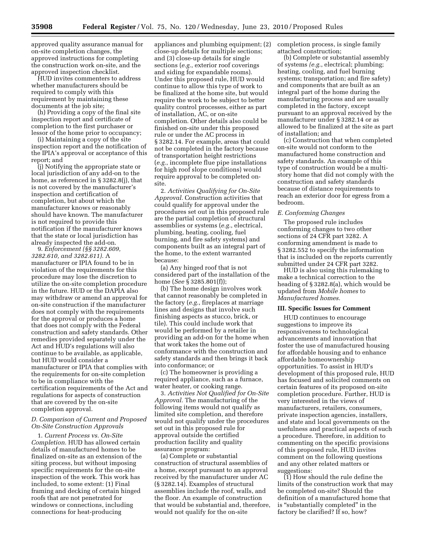approved quality assurance manual for on-site completion changes, the approved instructions for completing the construction work on-site, and the approved inspection checklist.

HUD invites commenters to address whether manufacturers should be required to comply with this requirement by maintaining these documents at the job site;

(h) Providing a copy of the final site inspection report and certificate of completion to the first purchaser or lessor of the home prior to occupancy;

(i) Maintaining a copy of the site inspection report and the notification of the IPIA's approval or acceptance of this report; and

(j) Notifying the appropriate state or local jurisdiction of any add-on to the home, as referenced in § 3282.8(j), that is not covered by the manufacturer's inspection and certification of completion, but about which the manufacturer knows or reasonably should have known. The manufacturer is not required to provide this notification if the manufacturer knows that the state or local jurisdiction has already inspected the add-on.

9. *Enforcement (§§ 3282.609, 3282.610, and 3282.611).* A manufacturer or IPIA found to be in violation of the requirements for this procedure may lose the discretion to utilize the on-site completion procedure in the future. HUD or the DAPIA also may withdraw or amend an approval for on-site construction if the manufacturer does not comply with the requirements for the approval or produces a home that does not comply with the Federal construction and safety standards. Other remedies provided separately under the Act and HUD's regulations will also continue to be available, as applicable, but HUD would consider a manufacturer or IPIA that complies with the requirements for on-site completion to be in compliance with the certification requirements of the Act and regulations for aspects of construction that are covered by the on-site completion approval.

# *D. Comparison of Current and Proposed On-Site Construction Approvals*

1. *Current Process vs. On-Site Completion.* HUD has allowed certain details of manufactured homes to be finalized on-site as an extension of the siting process, but without imposing specific requirements for the on-site inspection of the work. This work has included, to some extent: (1) Final framing and decking of certain hinged roofs that are not penetrated for windows or connections, including connections for heat-producing

appliances and plumbing equipment; (2) close-up details for multiple sections; and (3) close-up details for single sections (*e.g.*, exterior roof coverings and siding for expandable rooms). Under this proposed rule, HUD would continue to allow this type of work to be finalized at the home site, but would require the work to be subject to better quality control processes, either as part of installation, AC, or on-site completion. Other details also could be finished on-site under this proposed rule or under the AC process in § 3282.14. For example, areas that could not be completed in the factory because of transportation height restrictions (*e.g.*, incomplete flue pipe installations for high roof slope conditions) would require approval to be completed onsite.

2. *Activities Qualifying for On-Site Approval.* Construction activities that could qualify for approval under the procedures set out in this proposed rule are the partial completion of structural assemblies or systems (*e.g.*, electrical, plumbing, heating, cooling, fuel burning, and fire safety systems) and components built as an integral part of the home, to the extent warranted because:

(a) Any hinged roof that is not considered part of the installation of the home (*See* § 3285.801(f));

(b) The home design involves work that cannot reasonably be completed in the factory (*e.g.*, fireplaces at marriage lines and designs that involve such finishing aspects as stucco, brick, or tile). This could include work that would be performed by a retailer in providing an add-on for the home when that work takes the home out of conformance with the construction and safety standards and then brings it back into conformance; or

(c) The homeowner is providing a required appliance, such as a furnace, water heater, or cooking range.

3. *Activities Not Qualified for On-Site Approval.* The manufacturing of the following items would not qualify as limited site completion, and therefore would not qualify under the procedures set out in this proposed rule for approval outside the certified production facility and quality assurance program:

(a) Complete or substantial construction of structural assemblies of a home, except pursuant to an approval received by the manufacturer under AC (§ 3282.14). Examples of structural assemblies include the roof, walls, and the floor. An example of construction that would be substantial and, therefore, would not qualify for the on-site

completion process, is single family attached construction;

(b) Complete or substantial assembly of systems *(e.g.*, electrical; plumbing; heating, cooling, and fuel burning systems; transportation; and fire safety) and components that are built as an integral part of the home during the manufacturing process and are usually completed in the factory, except pursuant to an approval received by the manufacturer under § 3282.14 or as allowed to be finalized at the site as part of installation; and

(c) Construction that when completed on-site would not conform to the manufactured home construction and safety standards. An example of this type of construction would be a multistory home that did not comply with the construction and safety standards because of distance requirements to reach an exterior door for egress from a bedroom.

# *E. Conforming Changes*

The proposed rule includes conforming changes to two other sections of 24 CFR part 3282. A conforming amendment is made to § 3282.552 to specify the information that is included on the reports currently submitted under 24 CFR part 3282.

HUD is also using this rulemaking to make a technical correction to the heading of § 3282.8(a), which would be updated from *Mobile homes* to *Manufactured homes.* 

# **III. Specific Issues for Comment**

HUD continues to encourage suggestions to improve its responsiveness to technological advancements and innovation that foster the use of manufactured housing for affordable housing and to enhance affordable homeownership opportunities. To assist in HUD's development of this proposed rule, HUD has focused and solicited comments on certain features of its proposed on-site completion procedure. Further, HUD is very interested in the views of manufacturers, retailers, consumers, private inspection agencies, installers, and state and local governments on the usefulness and practical aspects of such a procedure. Therefore, in addition to commenting on the specific provisions of this proposed rule, HUD invites comment on the following questions and any other related matters or suggestions:

 $(1)$  How should the rule define the limits of the construction work that may be completed on-site? Should the definition of a manufactured home that is ''substantially completed'' in the factory be clarified? If so, how?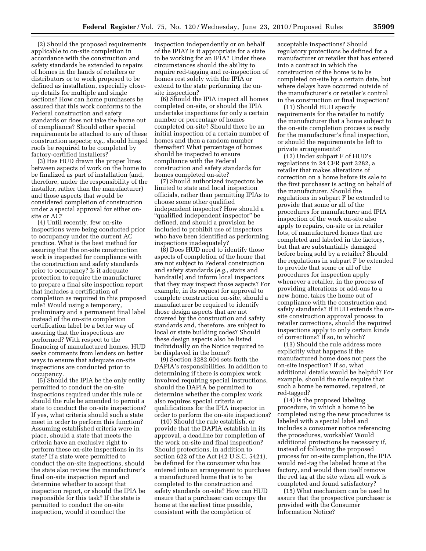(2) Should the proposed requirements applicable to on-site completion in accordance with the construction and safety standards be extended to repairs of homes in the hands of retailers or distributors or to work proposed to be defined as installation, especially closeup details for multiple and single sections? How can home purchasers be assured that this work conforms to the Federal construction and safety standards or does not take the home out of compliance? Should other special requirements be attached to any of these construction aspects; *e.g.*, should hinged roofs be required to be completed by factory-certified installers?

(3) Has HUD drawn the proper lines between aspects of work on the home to be finalized as part of installation (and, therefore, under the responsibility of the installer, rather than the manufacturer) and those aspects that would be considered completion of construction under a special approval for either onsite or AC?

(4) Until recently, few on-site inspections were being conducted prior to occupancy under the current AC practice. What is the best method for assuring that the on-site construction work is inspected for compliance with the construction and safety standards prior to occupancy? Is it adequate protection to require the manufacturer to prepare a final site inspection report that includes a certification of completion as required in this proposed rule? Would using a temporary, preliminary and a permanent final label instead of the on-site completion certification label be a better way of assuring that the inspections are performed? With respect to the financing of manufactured homes, HUD seeks comments from lenders on better ways to ensure that adequate on-site inspections are conducted prior to occupancy.

(5) Should the IPIA be the only entity permitted to conduct the on-site inspections required under this rule or should the rule be amended to permit a state to conduct the on-site inspections? If yes, what criteria should such a state meet in order to perform this function? Assuming established criteria were in place, should a state that meets the criteria have an exclusive right to perform these on-site inspections in its state? If a state were permitted to conduct the on-site inspections, should the state also review the manufacturer's final on-site inspection report and determine whether to accept that inspection report, or should the IPIA be responsible for this task? If the state is permitted to conduct the on-site inspection, would it conduct the

inspection independently or on behalf of the IPIA? Is it appropriate for a state to be working for an IPIA? Under these circumstances should the ability to require red-tagging and re-inspection of homes rest solely with the IPIA or extend to the state performing the onsite inspection?

(6) Should the IPIA inspect all homes completed on-site, or should the IPIA undertake inspections for only a certain number or percentage of homes completed on-site? Should there be an initial inspection of a certain number of homes and then a random number thereafter? What percentage of homes should be inspected to ensure compliance with the Federal construction and safety standards for homes completed on-site?

(7) Should authorized inspectors be limited to state and local inspection officials, rather than permitting IPIAs to choose some other qualified independent inspector? How should a "qualified independent inspector" be defined, and should a provision be included to prohibit use of inspectors who have been identified as performing inspections inadequately?

(8) Does HUD need to identify those aspects of completion of the home that are not subject to Federal construction and safety standards *(e.g.*, stairs and handrails) and inform local inspectors that they may inspect those aspects? For example, in its request for approval to complete construction on-site, should a manufacturer be required to identify those design aspects that are not covered by the construction and safety standards and, therefore, are subject to local or state building codes? Should these design aspects also be listed individually on the Notice required to be displayed in the home?

(9) Section 3282.604 sets forth the DAPIA's responsibilities. In addition to determining if there is complex work involved requiring special instructions, should the DAPIA be permitted to determine whether the complex work also requires special criteria or qualifications for the IPIA inspector in order to perform the on-site inspections?

(10) Should the rule establish, or provide that the DAPIA establish in its approval, a deadline for completion of the work on-site and final inspection? Should protections, in addition to section 622 of the Act (42 U.S.C. 5421), be defined for the consumer who has entered into an arrangement to purchase a manufactured home that is to be completed to the construction and safety standards on-site? How can HUD ensure that a purchaser can occupy the home at the earliest time possible, consistent with the completion of

acceptable inspections? Should regulatory protections be defined for a manufacturer or retailer that has entered into a contract in which the construction of the home is to be completed on-site by a certain date, but where delays have occurred outside of the manufacturer's or retailer's control in the construction or final inspection?

(11) Should HUD specify requirements for the retailer to notify the manufacturer that a home subject to the on-site completion process is ready for the manufacturer's final inspection, or should the requirements be left to private arrangements?

(12) Under subpart F of HUD's regulations in 24 CFR part 3282, a retailer that makes alterations of correction on a home before its sale to the first purchaser is acting on behalf of the manufacturer. Should the regulations in subpart F be extended to provide that some or all of the procedures for manufacturer and IPIA inspection of the work on-site also apply to repairs, on-site or in retailer lots, of manufactured homes that are completed and labeled in the factory, but that are substantially damaged before being sold by a retailer? Should the regulations in subpart F be extended to provide that some or all of the procedures for inspection apply whenever a retailer, in the process of providing alterations or add-ons to a new home, takes the home out of compliance with the construction and safety standards? If HUD extends the onsite construction approval process to retailer corrections, should the required inspections apply to only certain kinds of corrections? If so, to which?

(13) Should the rule address more explicitly what happens if the manufactured home does not pass the on-site inspection? If so, what additional details would be helpful? For example, should the rule require that such a home be removed, repaired, or red-tagged?

(14) Is the proposed labeling procedure, in which a home to be completed using the new procedures is labeled with a special label and includes a consumer notice referencing the procedures, workable? Would additional protections be necessary if, instead of following the proposed process for on-site completion, the IPIA would red-tag the labeled home at the factory, and would then itself remove the red tag at the site when all work is completed and found satisfactory?

(15) What mechanism can be used to assure that the prospective purchaser is provided with the Consumer Information Notice?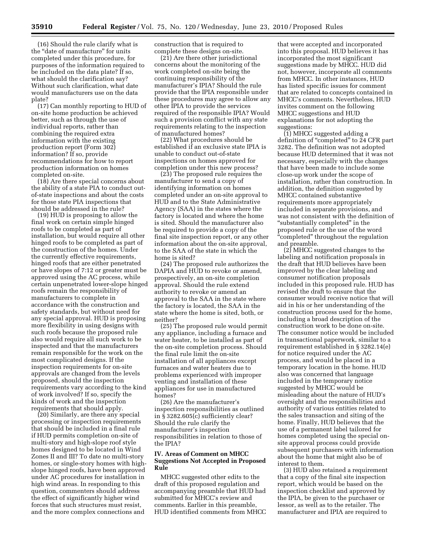(16) Should the rule clarify what is the ''date of manufacture'' for units completed under this procedure, for purposes of the information required to be included on the data plate? If so, what should the clarification say? Without such clarification, what date would manufacturers use on the data plate?

(17) Can monthly reporting to HUD of on-site home production be achieved better, such as through the use of individual reports, rather than combining the required extra information with the existing production report (Form 302) information? If so, provide recommendations for how to report production information on homes completed on-site.

(18) Are there special concerns about the ability of a state PIA to conduct outof-state inspections and about the costs for those state PIA inspections that should be addressed in the rule?

(19) HUD is proposing to allow the final work on certain simple hinged roofs to be completed as part of installation, but would require all other hinged roofs to be completed as part of the construction of the homes. Under the currently effective requirements, hinged roofs that are either penetrated or have slopes of 7:12 or greater must be approved using the AC process, while certain unpenetrated lower-slope hinged roofs remain the responsibility of manufacturers to complete in accordance with the construction and safety standards, but without need for any special approval. HUD is proposing more flexibility in using designs with such roofs because the proposed rule also would require all such work to be inspected and that the manufacturers remain responsible for the work on the most complicated designs. If the inspection requirements for on-site approvals are changed from the levels proposed, should the inspection requirements vary according to the kind of work involved? If so, specify the kinds of work and the inspection requirements that should apply.

(20) Similarly, are there any special processing or inspection requirements that should be included in a final rule if HUD permits completion on-site of multi-story and high-slope roof style homes designed to be located in Wind Zones II and III? To date no multi-story homes, or single-story homes with highslope hinged roofs, have been approved under AC procedures for installation in high wind areas. In responding to this question, commenters should address the effect of significantly higher wind forces that such structures must resist, and the more complex connections and

construction that is required to complete these designs on-site.

(21) Are there other jurisdictional concerns about the monitoring of the work completed on-site being the continuing responsibility of the manufacturer's IPIA? Should the rule provide that the IPIA responsible under these procedures may agree to allow any other IPIA to provide the services required of the responsible IPIA? Would such a provision conflict with any state requirements relating to the inspection of manufactured homes?

(22) What procedures should be established if an exclusive state IPIA is unable to conduct out-of-state inspections on homes approved for completion under this new process?

(23) The proposed rule requires the manufacturer to send a copy of identifying information on homes completed under an on-site approval to HUD and to the State Administrative Agency (SAA) in the states where the factory is located and where the home is sited. Should the manufacturer also be required to provide a copy of the final site inspection report, or any other information about the on-site approval, to the SAA of the state in which the home is sited?

(24) The proposed rule authorizes the DAPIA and HUD to revoke or amend, prospectively, an on-site completion approval. Should the rule extend authority to revoke or amend an approval to the SAA in the state where the factory is located, the SAA in the state where the home is sited, both, or neither?

(25) The proposed rule would permit any appliance, including a furnace and water heater, to be installed as part of the on-site completion process. Should the final rule limit the on-site installation of all appliances except furnaces and water heaters due to problems experienced with improper venting and installation of these appliances for use in manufactured homes?

(26) Are the manufacturer's inspection responsibilities as outlined in § 3282.605(c) sufficiently clear? Should the rule clarify the manufacturer's inspection responsibilities in relation to those of the IPIA?

# **IV. Areas of Comment on MHCC Suggestions Not Accepted in Proposed Rule**

MHCC suggested other edits to the draft of this proposed regulation and accompanying preamble that HUD had submitted for MHCC's review and comments. Earlier in this preamble, HUD identified comments from MHCC

that were accepted and incorporated into this proposal. HUD believes it has incorporated the most significant suggestions made by MHCC. HUD did not, however, incorporate all comments from MHCC. In other instances, HUD has listed specific issues for comment that are related to concepts contained in MHCC's comments. Nevertheless, HUD invites comment on the following MHCC suggestions and HUD explanations for not adopting the suggestions:

(1) MHCC suggested adding a definition of "completed" to 24 CFR part 3282. The definition was not adopted because HUD determined that it was not necessary, especially with the changes that have been made to include some close-up work under the scope of installation, rather than construction. In addition, the definition suggested by MHCC contained substantive requirements more appropriately included in separate provisions, and was not consistent with the definition of "substantially completed" in the proposed rule or the use of the word ''completed'' throughout the regulation and preamble.

(2) MHCC suggested changes to the labeling and notification proposals in the draft that HUD believes have been improved by the clear labeling and consumer notification proposals included in this proposed rule. HUD has revised the draft to ensure that the consumer would receive notice that will aid in his or her understanding of the construction process used for the home, including a broad description of the construction work to be done on-site. The consumer notice would be included in transactional paperwork, similar to a requirement established in § 3282.14(e) for notice required under the AC process, and would be placed in a temporary location in the home. HUD also was concerned that language included in the temporary notice suggested by MHCC would be misleading about the nature of HUD's oversight and the responsibilities and authority of various entities related to the sales transaction and siting of the home. Finally, HUD believes that the use of a permanent label tailored for homes completed using the special onsite approval process could provide subsequent purchasers with information about the home that might also be of interest to them.

(3) HUD also retained a requirement that a copy of the final site inspection report, which would be based on the inspection checklist and approved by the IPIA, be given to the purchaser or lessor, as well as to the retailer. The manufacturer and IPIA are required to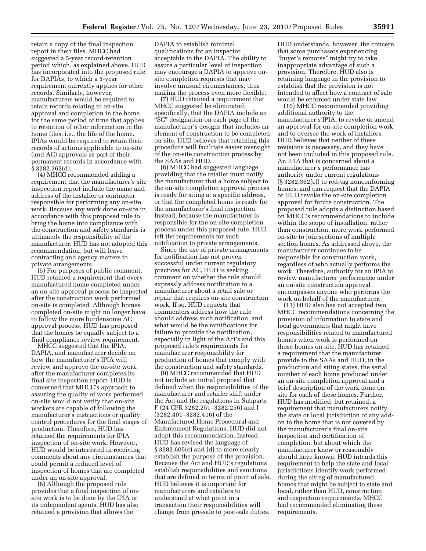retain a copy of the final inspection report in their files. MHCC had suggested a 5-year record-retention period which, as explained above, HUD has incorporated into the proposed rule for DAPIAs, to which a 5-year requirement currently applies for other records. Similarly, however, manufacturers would be required to retain records relating to on-site approval and completion in the home for the same period of time that applies to retention of other information in the home files, i.e., the life of the home. IPIAs would be required to retain their records of actions applicable to on-site (and AC) approvals as part of their permanent records in accordance with § 3282.362(d).

(4) MHCC recommended adding a requirement that the manufacturer's site inspection report include the name and address of the installer or contractor responsible for performing any on-site work. Because any work done on-site in accordance with this proposed rule to bring the home into compliance with the construction and safety standards is ultimately the responsibility of the manufacturer, HUD has not adopted this recommendation, but will leave contracting and agency matters to private arrangements.

(5) For purposes of public comment, HUD retained a requirement that every manufactured home completed under an on-site approval process be inspected after the construction work performed on-site is completed. Although homes completed on-site might no longer have to follow the more burdensome AC approval process, HUD has proposed that the homes be equally subject to a final compliance review requirement.

MHCC suggested that the IPIA, DAPIA, and manufacturer decide on how the manufacturer's IPIA will review and approve the on-site work after the manufacturer completes its final site inspection report. HUD is concerned that MHCC's approach to assuring the quality of work performed on-site would not verify that on-site workers are capable of following the manufacturer's instructions or quality control procedures for the final stages of production. Therefore, HUD has retained the requirements for IPIA inspection of on-site work. However, HUD would be interested in receiving comments about any circumstances that could permit a reduced level of inspection of homes that are completed under an on-site approval.

(6) Although the proposed rule provides that a final inspection of onsite work is to be done by the IPIA or its independent agents, HUD has also retained a provision that allows the

DAPIA to establish minimal qualifications for an inspector acceptable to the DAPIA. The ability to assure a particular level of inspection may encourage a DAPIA to approve onsite completion requests that may involve unusual circumstances, thus making the process even more flexible.

(7) HUD retained a requirement that MHCC suggested be eliminated; specifically, that the DAPIA include an ''SC'' designation on each page of the manufacturer's designs that includes an element of construction to be completed on-site. HUD believes that retaining this procedure will facilitate easier oversight of the on-site construction process by the SAAs and HUD.

(8) MHCC had suggested language providing that the retailer must notify the manufacturer that a home subject to the on-site completion approval process is ready for siting at a specific address, or that the completed home is ready for the manufacturer's final inspection. Instead, because the manufacturer is responsible for the on-site completion process under this proposed rule, HUD left the requirements for such notification to private arrangements.

Since the use of private arrangements for notification has not proven successful under current regulatory practices for AC, HUD is seeking comment on whether the rule should expressly address notification to a manufacturer about a retail sale or repair that requires on-site construction work. If so, HUD requests that commenters address how the rule should address such notification, and what would be the ramifications for failure to provide the notification, especially in light of the Act's and this proposed rule's requirements for manufacturer responsibility for production of homes that comply with the construction and safety standards.

(9) MHCC recommended that HUD not include an initial proposal that defined when the responsibilities of the manufacturer and retailer shift under the Act and the regulations in Subparts F (24 CFR 3282.251–3282.256) and I (3282.401–3282.416) of the Manufactured Home Procedural and Enforcement Regulations. HUD did not adopt this recommendation. Instead, HUD has revised the language of § 3282.605(c) and (d) to more clearly establish the purpose of the provision. Because the Act and HUD's regulations establish responsibilities and sanctions that are defined in terms of point of sale, HUD believes it is important for manufacturers and retailers to understand at what point in a transaction their responsibilities will change from pre-sale to post-sale duties.

HUD understands, however, the concern that some purchasers experiencing ''buyer's remorse'' might try to take inappropriate advantage of such a provision. Therefore, HUD also is retaining language in the provision to establish that the provision is not intended to affect how a contract of sale would be enforced under state law.

(10) MHCC recommended providing additional authority to the manufacturer's IPIA, to revoke or amend an approval for on-site completion work and to oversee the work of installers. HUD believes that neither of these revisions is necessary, and they have not been included in this proposed rule. An IPIA that is concerned about a manufacturer's performance has authority under current regulations (§ 3282.362(c)) to red-tag nonconforming homes, and can request that the DAPIA or HUD revoke the on-site completion approval for future construction. The proposed rule adopts a distinction based on MHCC's recommendations to include within the scope of installation, rather than construction, more work performed on-site to join sections of multiple section homes. As addressed above, the manufacturer continues to be responsible for construction work, regardless of who actually performs the work. Therefore, authority for an IPIA to review manufacturer performance under an on-site construction approval encompasses anyone who performs the work on behalf of the manufacturer.

(11) HUD also has not accepted two MHCC recommendations concerning the provision of information to state and local governments that might have responsibilities related to manufactured homes when work is performed on those homes on-site. HUD has retained a requirement that the manufacturer provide to the SAAs and HUD, in the production and siting states, the serial number of each home produced under an on-site completion approval and a brief description of the work done onsite for each of these homes. Further, HUD has modified, but retained, a requirement that manufacturers notify the state or local jurisdiction of any addon to the home that is not covered by the manufacturer's final on-site inspection and certification of completion, but about which the manufacturer knew or reasonably should have known. HUD intends this requirement to help the state and local jurisdictions identify work performed during the siting of manufactured homes that might be subject to state and local, rather than HUD, construction and inspection requirements. MHCC had recommended eliminating these requirements.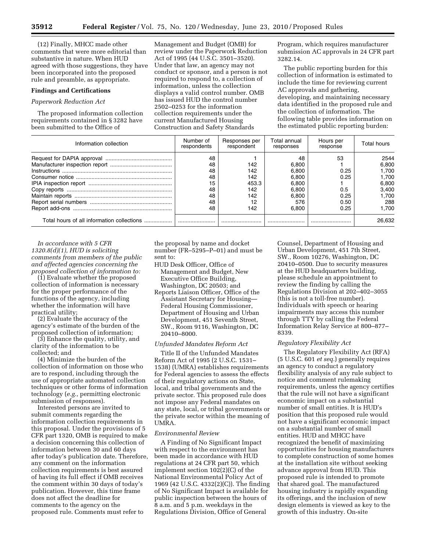(12) Finally, MHCC made other comments that were more editorial than substantive in nature. When HUD agreed with those suggestions, they have been incorporated into the proposed rule and preamble, as appropriate.

### **Findings and Certifications**

# *Paperwork Reduction Act*

The proposed information collection requirements contained in § 3282 have been submitted to the Office of

Management and Budget (OMB) for review under the Paperwork Reduction Act of 1995 (44 U.S.C. 3501–3520). Under that law, an agency may not conduct or sponsor, and a person is not required to respond to, a collection of information, unless the collection displays a valid control number. OMB has issued HUD the control number 2502–0253 for the information collection requirements under the current Manufactured Housing Construction and Safety Standards

Program, which requires manufacturer submission AC approvals in 24 CFR part 3282.14.

The public reporting burden for this collection of information is estimated to include the time for reviewing current AC approvals and gathering, developing, and maintaining necessary data identified in the proposed rule and the collection of information. The following table provides information on the estimated public reporting burden:

| Information collection                     | Number of<br>respondents | Responses per<br>respondent | Total annual<br>responses | Hours per<br>response | Total hours |
|--------------------------------------------|--------------------------|-----------------------------|---------------------------|-----------------------|-------------|
|                                            | 48                       |                             | 48                        | 53                    | 2544        |
|                                            | 48                       | 142                         | 6.800                     |                       | 6,800       |
|                                            | 48                       | 142                         | 6.800                     | 0.25                  | 1.700       |
|                                            | 48                       | 142                         | 6.800                     | 0.25                  | 1.700       |
|                                            | 15                       | 453.3                       | 6.800                     |                       | 6.800       |
|                                            | 48                       | 142                         | 6.800                     | 0.5                   | 3.400       |
|                                            | 48                       | 142                         | 6.800                     | 0.25                  | 1.700       |
|                                            | 48                       | 12                          | 576                       | 0.50                  | 288         |
|                                            | 48                       | 142                         | 6.800                     | 0.25                  | 1.700       |
| Total hours of all information collections |                          |                             |                           |                       | 26.632      |

*In accordance with 5 CFR 1320.8(d)(1), HUD is soliciting comments from members of the public and affected agencies concerning the proposed collection of information to:* 

(1) Evaluate whether the proposed collection of information is necessary for the proper performance of the functions of the agency, including whether the information will have practical utility;

(2) Evaluate the accuracy of the agency's estimate of the burden of the proposed collection of information;

(3) Enhance the quality, utility, and clarity of the information to be collected; and

(4) Minimize the burden of the collection of information on those who are to respond, including through the use of appropriate automated collection techniques or other forms of information technology (*e.g.,* permitting electronic submission of responses).

Interested persons are invited to submit comments regarding the information collection requirements in this proposal. Under the provisions of 5 CFR part 1320, OMB is required to make a decision concerning this collection of information between 30 and 60 days after today's publication date. Therefore, any comment on the information collection requirements is best assured of having its full effect if OMB receives the comment within 30 days of today's publication. However, this time frame does not affect the deadline for comments to the agency on the proposed rule. Comments must refer to

the proposal by name and docket number (FR–5295–P–01) and must be sent to:

- HUD Desk Officer, Office of Management and Budget, New Executive Office Building, Washington, DC 20503; and
- Reports Liaison Officer, Office of the Assistant Secretary for Housing— Federal Housing Commissioner, Department of Housing and Urban Development, 451 Seventh Street, SW., Room 9116, Washington, DC 20410–8000.

### *Unfunded Mandates Reform Act*

Title II of the Unfunded Mandates Reform Act of 1995 (2 U.S.C. 1531– 1538) (UMRA) establishes requirements for Federal agencies to assess the effects of their regulatory actions on State, local, and tribal governments and the private sector. This proposed rule does not impose any Federal mandates on any state, local, or tribal governments or the private sector within the meaning of UMRA.

## *Environmental Review*

A Finding of No Significant Impact with respect to the environment has been made in accordance with HUD regulations at 24 CFR part 50, which implement section 102(2)(C) of the National Environmental Policy Act of 1969 (42 U.S.C. 4332(2)(C)). The finding of No Significant Impact is available for public inspection between the hours of 8 a.m. and 5 p.m. weekdays in the Regulations Division, Office of General

Counsel, Department of Housing and Urban Development, 451 7th Street, SW., Room 10276, Washington, DC 20410–0500. Due to security measures at the HUD headquarters building, please schedule an appointment to review the finding by calling the Regulations Division at 202–402–3055 (this is not a toll-free number). Individuals with speech or hearing impairments may access this number through TTY by calling the Federal Information Relay Service at 800–877– 8339.

#### *Regulatory Flexibility Act*

The Regulatory Flexibility Act (RFA) (5 U.S.C. 601 *et seq.*) generally requires an agency to conduct a regulatory flexibility analysis of any rule subject to notice and comment rulemaking requirements, unless the agency certifies that the rule will not have a significant economic impact on a substantial number of small entities. It is HUD's position that this proposed rule would not have a significant economic impact on a substantial number of small entities. HUD and MHCC have recognized the benefit of maximizing opportunities for housing manufacturers to complete construction of some homes at the installation site without seeking advance approval from HUD. This proposed rule is intended to promote that shared goal. The manufactured housing industry is rapidly expanding its offerings, and the inclusion of new design elements is viewed as key to the growth of this industry. On-site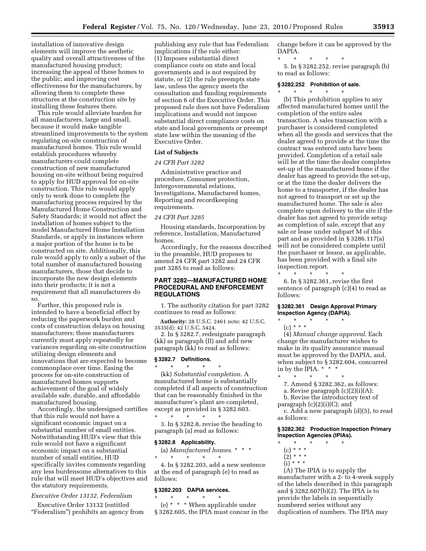installation of innovative design elements will improve the aesthetic quality and overall attractiveness of the manufactured housing product; increasing the appeal of these homes to the public; and improving cost effectiveness for the manufacturers, by allowing them to complete these structures at the construction site by installing these features there.

This rule would alleviate burden for all manufacturers, large and small, because it would make tangible streamlined improvements to the system regulating on-site construction of manufactured homes. This rule would establish procedures whereby manufacturers could complete construction of new manufactured housing on-site without being required to apply for HUD approval for on-site construction. This rule would apply only to work done to complete the manufacturing process required by the Manufactured Home Construction and Safety Standards; it would not affect the installation of homes subject to the model Manufactured Home Installation Standards, or apply in instances where a major portion of the home is to be constructed on site. Additionally, this rule would apply to only a subset of the total number of manufactured housing manufacturers, those that decide to incorporate the new design elements into their products; it is not a requirement that all manufacturers do so.

Further, this proposed rule is intended to have a beneficial effect by reducing the paperwork burden and costs of construction delays on housing manufacturers; these manufacturers currently must apply repeatedly for variances regarding on-site construction utilizing design elements and innovations that are expected to become commonplace over time. Easing the process for on-site construction of manufactured homes supports achievement of the goal of widely available safe, durable, and affordable manufactured housing.

Accordingly, the undersigned certifies that this rule would not have a significant economic impact on a substantial number of small entities. Notwithstanding HUD's view that this rule would not have a significant economic impact on a substantial number of small entities, HUD specifically invites comments regarding any less burdensome alternatives to this rule that will meet HUD's objectives and the statutory requirements.

## *Executive Order 13132, Federalism*

Executive Order 13132 (entitled "Federalism") prohibits an agency from

publishing any rule that has Federalism implications if the rule either: (1) Imposes substantial direct compliance costs on state and local governments and is not required by statute, or (2) the rule preempts state law, unless the agency meets the consultation and funding requirements of section 6 of the Executive Order. This proposed rule does not have Federalism implications and would not impose substantial direct compliance costs on state and local governments or preempt state law within the meaning of the Executive Order.

# **List of Subjects**

# *24 CFR Part 3282*

Administrative practice and procedure, Consumer protection, Intergovernmental relations, Investigations, Manufactured homes, Reporting and recordkeeping requirements.

#### *24 CFR Part 3285*

Housing standards, Incorporation by reference, Installation, Manufactured homes.

Accordingly, for the reasons described in the preamble, HUD proposes to amend 24 CFR part 3282 and 24 CFR part 3285 to read as follows:

# **PART 3282—MANUFACTURED HOME PROCEDURAL AND ENFORCEMENT REGULATIONS**

1. The authority citation for part 3282 continues to read as follows:

**Authority:** 28 U.S.C. 2461 note; 42 U.S.C. 3535(d); 42 U.S.C. 5424.

2. In § 3282.7, redesignate paragraph (kk) as paragraph (ll) and add new paragraph (kk) to read as follows:

# **§ 3282.7 Definitions.**

 $\star$   $\star$   $\star$ (kk) *Substantial completion.* A manufactured home is substantially completed if all aspects of construction that can be reasonably finished in the manufacturer's plant are completed, except as provided in § 3282.603. \* \* \* \* \*

3. In § 3282.8, revise the heading to paragraph (a) read as follows:

#### **§ 3282.8 Applicability.**

(a) *Manufactured homes.* \* \* \* \* \* \* \* \*

4. In § 3282.203, add a new sentence at the end of paragraph (e) to read as follows:

# **§ 3282.203 DAPIA services.**  \* \* \* \* \*

(e) \* \* \* When applicable under § 3282.605, the IPIA must concur in the change before it can be approved by the DAPIA.

\* \* \* \* \* 5. In § 3282.252, revise paragraph (b) to read as follows:

# **§ 3282.252 Prohibition of sale.**

\* \* \* \* \*

(b) This prohibition applies to any affected manufactured homes until the completion of the entire sales transaction. A sales transaction with a purchaser is considered completed when all the goods and services that the dealer agreed to provide at the time the contract was entered onto have been provided. Completion of a retail sale will be at the time the dealer completes set-up of the manufactured home if the dealer has agreed to provide the set-up, or at the time the dealer delivers the home to a transporter, if the dealer has not agreed to transport or set up the manufactured home. The sale is also complete upon delivery to the site if the dealer has not agreed to provide setup as completion of sale, except that any sale or lease under subpart M of this part and as provided in § 3286.117(a) will not be considered complete until the purchaser or lessor, as applicable, has been provided with a final site inspection report.

6. In § 3282.361, revise the first sentence of paragraph (c)(4) to read as follows:

## **§ 3282.361 Design Approval Primary Inspection Agency (DAPIA).**

\* \* \* \* \* (c) \* \* \*

 $\star$   $\qquad$   $\star$   $\qquad$   $\star$ 

(4) *Manual change approval.* Each change the manufacturer wishes to make in its quality assurance manual must be approved by the DAPIA, and, when subject to § 3282.604, concurred in by the IPIA. \* \* \*

- \* \* \* \* \*
	- 7. Amend § 3282.362, as follows:
- a. Revise paragraph (c)(2)(i)(A);
- b. Revise the introductory text of

paragraph  $(c)(2)(i)(C)$ ; and

c. Add a new paragraph (d)(5), to read as follows:

# **§ 3282.362 Production Inspection Primary Inspection Agencies (IPIAs).**

- \* \* \* \* \*  $(c) * * * *$
- $(2) * * * *$
- (i) \* \* \*

(A) The IPIA is to supply the manufacturer with a 2- to 4-week supply of the labels described in this paragraph and § 3282.607(b)(2). The IPIA is to provide the labels in sequentially numbered series without any duplication of numbers. The IPIA may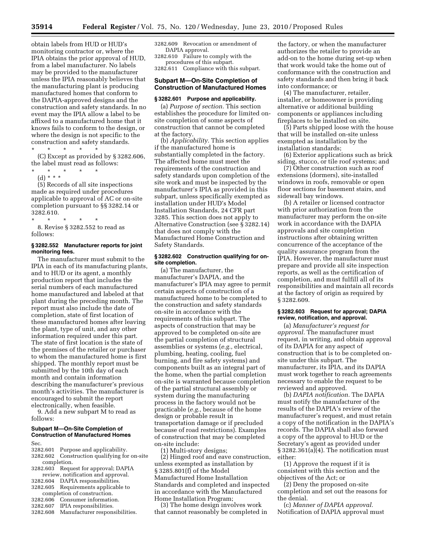obtain labels from HUD or HUD's monitoring contractor or, where the IPIA obtains the prior approval of HUD, from a label manufacturer. No labels may be provided to the manufacturer unless the IPIA reasonably believes that the manufacturing plant is producing manufactured homes that conform to the DAPIA-approved designs and the construction and safety standards. In no event may the IPIA allow a label to be affixed to a manufactured home that it knows fails to conform to the design, or where the design is not specific to the construction and safety standards. \* \* \* \* \*

(C) Except as provided by § 3282.606, the label must read as follows:

- \* \* \* \* \*
	- (d) \* \* \*

(5) Records of all site inspections made as required under procedures applicable to approval of AC or on-site completion pursuant to §§ 3282.14 or 3282.610.

\* \* \* \* \* 8. Revise § 3282.552 to read as follows:

# **§ 3282.552 Manufacturer reports for joint monitoring fees.**

The manufacturer must submit to the IPIA in each of its manufacturing plants, and to HUD or its agent, a monthly production report that includes the serial numbers of each manufactured home manufactured and labeled at that plant during the preceding month. The report must also include the date of completion, state of first location of these manufactured homes after leaving the plant, type of unit, and any other information required under this part. The state of first location is the state of the premises of the retailer or purchaser to whom the manufactured home is first shipped. The monthly report must be submitted by the 10th day of each month and contain information describing the manufacturer's previous month's activities. The manufacturer is encouraged to submit the report electronically, when feasible.

9. Add a new subpart M to read as follows:

# **Subpart M—On-Site Completion of Construction of Manufactured Homes**

Sec.

- 3282.601 Purpose and applicability. 3282.602 Construction qualifying for on-site completion.
- 3282.603 Request for approval; DAPIA
- review, notification and approval.<br>3282.604 DAPIA responsibilities. DAPIA responsibilities.
- 3282.605 Requirements applicable to completion of construction.<br>3282.606 Consumer information
- Consumer information.
- 3282.607 IPIA responsibilities. 3282.608 Manufacturer responsibilities.

3282.609 Revocation or amendment of DAPIA approval.

3282.610 Failure to comply with the procedures of this subpart.

3282.611 Compliance with this subpart.

# **Subpart M—On-Site Completion of Construction of Manufactured Homes**

#### **§ 3282.601 Purpose and applicability.**

(a) *Purpose of section.* This section establishes the procedure for limited onsite completion of some aspects of construction that cannot be completed at the factory.

(b) *Applicability.* This section applies if the manufactured home is substantially completed in the factory. The affected home must meet the requirements of the construction and safety standards upon completion of the site work and must be inspected by the manufacturer's IPIA as provided in this subpart, unless specifically exempted as installation under HUD's Model Installation Standards, 24 CFR part 3285. This section does not apply to Alternative Construction (see § 3282.14) that does not comply with the Manufactured Home Construction and Safety Standards.

## **§ 3282.602 Construction qualifying for onsite completion.**

(a) The manufacturer, the manufacturer's DAPIA, and the manufacturer's IPIA may agree to permit certain aspects of construction of a manufactured home to be completed to the construction and safety standards on-site in accordance with the requirements of this subpart. The aspects of construction that may be approved to be completed on-site are the partial completion of structural assemblies or systems (*e.g.,* electrical, plumbing, heating, cooling, fuel burning, and fire safety systems) and components built as an integral part of the home, when the partial completion on-site is warranted because completion of the partial structural assembly or system during the manufacturing process in the factory would not be practicable (*e.g.,* because of the home design or probable result in transportation damage or if precluded because of road restrictions). Examples of construction that may be completed on-site include:

(1) Multi-story designs;

(2) Hinged roof and eave construction, unless exempted as installation by § 3285.801(f) of the Model Manufactured Home Installation Standards and completed and inspected in accordance with the Manufactured Home Installation Program;

(3) The home design involves work that cannot reasonably be completed in

the factory, or when the manufacturer authorizes the retailer to provide an add-on to the home during set-up when that work would take the home out of conformance with the construction and safety standards and then bring it back into conformance; or

(4) The manufacturer, retailer, installer, or homeowner is providing alternative or additional building components or appliances including fireplaces to be installed on site.

(5) Parts shipped loose with the house that will be installed on-site unless exempted as installation by the installation standards;

(6) Exterior applications such as brick siding, stucco, or tile roof systems; and

(7) Other construction such as roof extensions (dormers), site-installed windows in roofs, removable or open floor sections for basement stairs, and sidewall bay windows.

(b) A retailer or licensed contractor with prior authorization from the manufacturer may perform the on-site work in accordance with the DAPIA approvals and site completion instructions after obtaining written concurrence of the acceptance of the quality assurance program from the IPIA. However, the manufacturer must prepare and provide all site inspection reports, as well as the certification of completion, and must fulfill all of its responsibilities and maintain all records at the factory of origin as required by § 3282.609.

## **§ 3282.603 Request for approval; DAPIA review, notification, and approval.**

(a) *Manufacturer's request for approval.* The manufacturer must request, in writing, and obtain approval of its DAPIA for any aspect of construction that is to be completed onsite under this subpart. The manufacturer, its IPIA, and its DAPIA must work together to reach agreements necessary to enable the request to be reviewed and approved.

(b) *DAPIA notification.* The DAPIA must notify the manufacturer of the results of the DAPIA's review of the manufacturer's request, and must retain a copy of the notification in the DAPIA's records. The DAPIA shall also forward a copy of the approval to HUD or the Secretary's agent as provided under § 3282.361(a)(4). The notification must either:

(1) Approve the request if it is consistent with this section and the objectives of the Act; or

(2) Deny the proposed on-site completion and set out the reasons for the denial.

(c) *Manner of DAPIA approval.*  Notification of DAPIA approval must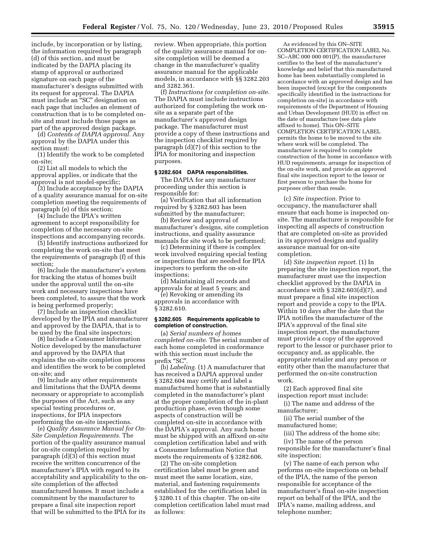include, by incorporation or by listing, the information required by paragraph (d) of this section, and must be indicated by the DAPIA placing its stamp of approval or authorized signature on each page of the manufacturer's designs submitted with its request for approval. The DAPIA must include an "SC" designation on each page that includes an element of construction that is to be completed onsite and must include those pages as part of the approved design package.

(d) *Contents of DAPIA approval.* Any approval by the DAPIA under this section must:

(1) Identify the work to be completed on-site;

(2) List all models to which the approval applies, or indicate that the approval is not model-specific;

(3) Include acceptance by the DAPIA of a quality assurance manual for on-site completion meeting the requirements of paragraph (e) of this section;

(4) Include the IPIA's written agreement to accept responsibility for completion of the necessary on-site inspections and accompanying records.

(5) Identify instructions authorized for completing the work on-site that meet the requirements of paragraph (f) of this section;

(6) Include the manufacturer's system for tracking the status of homes built under the approval until the on-site work and necessary inspections have been completed, to assure that the work is being performed properly;

(7) Include an inspection checklist developed by the IPIA and manufacturer and approved by the DAPIA, that is to be used by the final site inspectors;

(8) Include a Consumer Information Notice developed by the manufacturer and approved by the DAPIA that explains the on-site completion process and identifies the work to be completed on-site; and

(9) Include any other requirements and limitations that the DAPIA deems necessary or appropriate to accomplish the purposes of the Act, such as any special testing procedures or, inspections, for IPIA inspectors performing the on-site inspections.

(e) *Quality Assurance Manual for On-Site Completion Requirements.* The portion of the quality assurance manual for on-site completion required by paragraph (d)(3) of this section must receive the written concurrence of the manufacturer's IPIA with regard to its acceptability and applicability to the onsite completion of the affected manufactured homes. It must include a commitment by the manufacturer to prepare a final site inspection report that will be submitted to the IPIA for its

review. When appropriate, this portion of the quality assurance manual for onsite completion will be deemed a change in the manufacturer's quality assurance manual for the applicable models, in accordance with §§ 3282.203 and 3282.361.

(f) *Instructions for completion on-site.*  The DAPIA must include instructions authorized for completing the work onsite as a separate part of the manufacturer's approved design package. The manufacturer must provide a copy of these instructions and the inspection checklist required by paragraph (d)(7) of this section to the IPIA for monitoring and inspection purposes.

# **§ 3282.604 DAPIA responsibilities.**

The DAPIA for any manufacturer proceeding under this section is responsible for:

(a) Verification that all information required by § 3282.603 has been submitted by the manufacturer;

(b) Review and approval of manufacturer's designs, site completion instructions, and quality assurance manuals for site work to be performed;

(c) Determining if there is complex work involved requiring special testing or inspections that are needed for IPIA inspectors to perform the on-site inspections;

(d) Maintaining all records and approvals for at least 5 years; and

(e) Revoking or amending its approvals in accordance with § 3282.610.

# **§ 3282.605 Requirements applicable to completion of construction.**

(a) *Serial numbers of homes completed on-site.* The serial number of each home completed in conformance with this section must include the prefix "SC".

(b) *Labeling.* (1) A manufacturer that has received a DAPIA approval under § 3282.604 may certify and label a manufactured home that is substantially completed in the manufacturer's plant at the proper completion of the in-plant production phase, even though some aspects of construction will be completed on-site in accordance with the DAPIA's approval. Any such home must be shipped with an affixed on-site completion certification label and with a Consumer Information Notice that meets the requirements of § 3282.606.

(2) The on-site completion certification label must be green and must meet the same location, size, material, and fastening requirements established for the certification label in § 3280.11 of this chapter. The on-site completion certification label must read as follows:

As evidenced by this ON–SITE COMPLETION CERTIFICATION LABEL No. SC–ABC 000 000 001(P), the manufacturer certifies to the best of the manufacturer's knowledge and belief that this manufactured home has been substantially completed in accordance with an approved design and has been inspected (except for the components specifically identified in the instructions for completion on-site) in accordance with requirements of the Department of Housing and Urban Development (HUD) in effect on the date of manufacture (see data plate affixed to home). This ON–SITE COMPLETION CERTIFICATION LABEL permits the home to be moved to the site where work will be completed. The manufacturer is required to complete construction of the home in accordance with HUD requirements, arrange for inspection of the on-site work, and provide an approved final site inspection report to the lessor or first person to purchase the home for purposes other than resale.

(c) *Site inspection.* Prior to occupancy, the manufacturer shall ensure that each home is inspected onsite. The manufacturer is responsible for inspecting all aspects of construction that are completed on-site as provided in its approved designs and quality assurance manual for on-site completion.

(d) *Site inspection report.* (1) In preparing the site inspection report, the manufacturer must use the inspection checklist approved by the DAPIA in accordance with  $\S 3282.603(d)(7)$ , and must prepare a final site inspection report and provide a copy to the IPIA. Within 10 days after the date that the IPIA notifies the manufacturer of the IPIA's approval of the final site inspection report, the manufacturer must provide a copy of the approved report to the lessor or purchaser prior to occupancy and, as applicable, the appropriate retailer and any person or entity other than the manufacturer that performed the on-site construction work.

(2) Each approved final site inspection report must include:

(i) The name and address of the manufacturer;

(ii) The serial number of the manufactured home;

(iii) The address of the home site;

(iv) The name of the person responsible for the manufacturer's final site inspection;

(v) The name of each person who performs on-site inspections on behalf of the IPIA, the name of the person responsible for acceptance of the manufacturer's final on-site inspection report on behalf of the IPIA, and the IPIA's name, mailing address, and telephone number;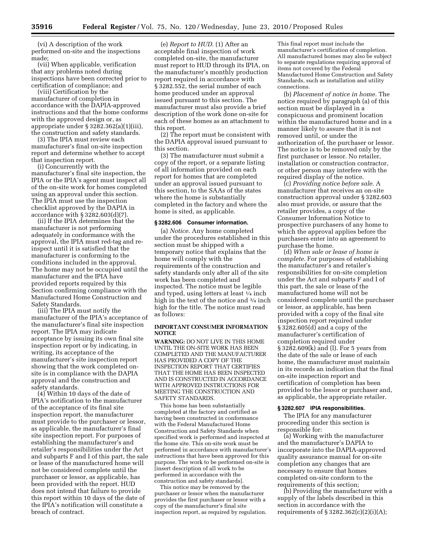(vi) A description of the work performed on-site and the inspections made;

(vii) When applicable, verification that any problems noted during inspections have been corrected prior to certification of compliance; and

(viii) Certification by the manufacturer of completion in accordance with the DAPIA-approved instructions and that the home conforms with the approved design or, as appropriate under § 3282.362(a)(1)(iii), the construction and safety standards.

(3) The IPIA must review each manufacturer's final on-site inspection report and determine whether to accept that inspection report.

(i) Concurrently with the manufacturer's final site inspection, the IPIA or the IPIA's agent must inspect all of the on-site work for homes completed using an approval under this section. The IPIA must use the inspection checklist approved by the DAPIA in accordance with § 3282.603(d)(7).

(ii) If the IPIA determines that the manufacturer is not performing adequately in conformance with the approval, the IPIA must red-tag and reinspect until it is satisfied that the manufacturer is conforming to the conditions included in the approval. The home may not be occupied until the manufacturer and the IPIA have provided reports required by this Section confirming compliance with the Manufactured Home Construction and Safety Standards.

(iii) The IPIA must notify the manufacturer of the IPIA's acceptance of the manufacturer's final site inspection report. The IPIA may indicate acceptance by issuing its own final site inspection report or by indicating, in writing, its acceptance of the manufacturer's site inspection report showing that the work completed onsite is in compliance with the DAPIA approval and the construction and safety standards.

(4) Within 10 days of the date of IPIA's notification to the manufacturer of the acceptance of its final site inspection report, the manufacturer must provide to the purchaser or lessor, as applicable, the manufacturer's final site inspection report. For purposes of establishing the manufacturer's and retailer's responsibilities under the Act and subparts F and I of this part, the sale or lease of the manufactured home will not be considered complete until the purchaser or lessor, as applicable, has been provided with the report. HUD does not intend that failure to provide this report within 10 days of the date of the IPIA's notification will constitute a breach of contract.

(e) *Report to HUD.* (1) After an acceptable final inspection of work completed on-site, the manufacturer must report to HUD through its IPIA, on the manufacturer's monthly production report required in accordance with § 3282.552, the serial number of each home produced under an approval issued pursuant to this section. The manufacturer must also provide a brief description of the work done on-site for each of these homes as an attachment to this report.

(2) The report must be consistent with the DAPIA approval issued pursuant to this section.

(3) The manufacturer must submit a copy of the report, or a separate listing of all information provided on each report for homes that are completed under an approval issued pursuant to this section, to the SAAs of the states where the home is substantially completed in the factory and where the home is sited, as applicable.

#### **§ 3282.606 Consumer information.**

(a) *Notice.* Any home completed under the procedures established in this section must be shipped with a temporary notice that explains that the home will comply with the requirements of the construction and safety standards only after all of the site work has been completed and inspected. The notice must be legible and typed, using letters at least 1⁄4 inch high in the text of the notice and 3⁄4 inch high for the title. The notice must read as follows:

# **IMPORTANT CONSUMER INFORMATION NOTICE**

**WARNING:** DO NOT LIVE IN THIS HOME UNTIL THE ON-SITE WORK HAS BEEN COMPLETED AND THE MANUFACTURER HAS PROVIDED A COPY OF THE INSPECTION REPORT THAT CERTIFIES THAT THE HOME HAS BEEN INSPECTED AND IS CONSTRUCTED IN ACCORDANCE WITH APPROVED INSTRUCTIONS FOR MEETING THE CONSTRUCTION AND SAFETY STANDARDS.

This home has been substantially completed at the factory and certified as having been constructed in conformance with the Federal Manufactured Home Construction and Safety Standards when specified work is performed and inspected at the home site. This on-site work must be performed in accordance with manufacturer's instructions that have been approved for this purpose. The work to be performed on-site is [insert description of all work to be performed in accordance with the construction and safety standards].

This notice may be removed by the purchaser or lessor when the manufacturer provides the first purchaser or lessor with a copy of the manufacturer's final site inspection report, as required by regulation.

This final report must include the manufacturer's certification of completion. All manufactured homes may also be subject to separate regulations requiring approval of items not covered by the Federal Manufactured Home Construction and Safety Standards, such as installation and utility connections.

(b) *Placement of notice in home.* The notice required by paragraph (a) of this section must be displayed in a conspicuous and prominent location within the manufactured home and in a manner likely to assure that it is not removed until, or under the authorization of, the purchaser or lessor. The notice is to be removed only by the first purchaser or lessor. No retailer, installation or construction contractor, or other person may interfere with the required display of the notice.

(c) *Providing notice before sale.* A manufacturer that receives an on-site construction approval under § 3282.603 also must provide, or assure that the retailer provides, a copy of the Consumer Information Notice to prospective purchasers of any home to which the approval applies before the purchasers enter into an agreement to purchase the home.

(d) *When sale or lease of home is complete.* For purposes of establishing the manufacturer's and retailer's responsibilities for on-site completion under the Act and subparts F and I of this part, the sale or lease of the manufactured home will not be considered complete until the purchaser or lessor, as applicable, has been provided with a copy of the final site inspection report required under § 3282.605(d) and a copy of the manufacturer's certification of completion required under § 3282.609(k) and (l). For 5 years from the date of the sale or lease of each home, the manufacturer must maintain in its records an indication that the final on-site inspection report and certification of completion has been provided to the lessor or purchaser and, as applicable, the appropriate retailer.

#### **§ 3282.607 IPIA responsibilities.**

The IPIA for any manufacturer proceeding under this section is responsible for:

(a) Working with the manufacturer and the manufacturer's DAPIA to incorporate into the DAPIA-approved quality assurance manual for on-site completion any changes that are necessary to ensure that homes completed on-site conform to the requirements of this section;

(b) Providing the manufacturer with a supply of the labels described in this section in accordance with the requirements of § 3282.362(c)(2)(i)(A);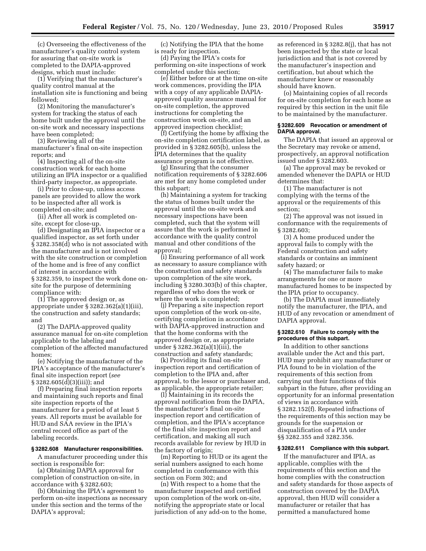(c) Overseeing the effectiveness of the manufacturer's quality control system for assuring that on-site work is completed to the DAPIA-approved designs, which must include:

 $(1)$  Verifying that the manufacturer's quality control manual at the installation site is functioning and being followed;

(2) Monitoring the manufacturer's system for tracking the status of each home built under the approval until the on-site work and necessary inspections have been completed;

(3) Reviewing all of the

manufacturer's final on-site inspection reports; and

(4) Inspecting all of the on-site construction work for each home utilizing an IPIA inspector or a qualified third-party inspector, as appropriate.

(i) Prior to close-up, unless access panels are provided to allow the work to be inspected after all work is completed on-site; and

(ii) After all work is completed onsite, except for close-up.

(d) Designating an IPIA inspector or a qualified inspector, as set forth under § 3282.358(d) who is not associated with the manufacturer and is not involved with the site construction or completion of the home and is free of any conflict of interest in accordance with § 3282.359, to inspect the work done onsite for the purpose of determining compliance with:

(1) The approved design or, as appropriate under § 3282.362(a)(1)(iii), the construction and safety standards; and

(2) The DAPIA-approved quality assurance manual for on-site completion applicable to the labeling and completion of the affected manufactured homes;

(e) Notifying the manufacturer of the IPIA's acceptance of the manufacturer's final site inspection report (*see*  § 3282.605(d)(3)(iii)); and

(f) Preparing final inspection reports and maintaining such reports and final site inspection reports of the manufacturer for a period of at least 5 years. All reports must be available for HUD and SAA review in the IPIA's central record office as part of the labeling records.

#### **§ 3282.608 Manufacturer responsibilities.**

A manufacturer proceeding under this section is responsible for:

(a) Obtaining DAPIA approval for completion of construction on-site, in accordance with § 3282.603;

(b) Obtaining the IPIA's agreement to perform on-site inspections as necessary under this section and the terms of the DAPIA's approval;

(c) Notifying the IPIA that the home is ready for inspection.

(d) Paying the IPIA's costs for performing on-site inspections of work completed under this section;

(e) Either before or at the time on-site work commences, providing the IPIA with a copy of any applicable DAPIAapproved quality assurance manual for on-site completion, the approved instructions for completing the construction work on-site, and an approved inspection checklist;

(f) Certifying the home by affixing the on-site completion certification label, as provided in § 3282.605(b), unless the IPIA determines that the quality assurance program is not effective.

(g) Ensuring that the consumer notification requirements of § 3282.606 are met for any home completed under this subpart;

(h) Maintaining a system for tracking the status of homes built under the approval until the on-site work and necessary inspections have been completed, such that the system will assure that the work is performed in accordance with the quality control manual and other conditions of the approval;

(i) Ensuring performance of all work as necessary to assure compliance with the construction and safety standards upon completion of the site work, including § 3280.303(b) of this chapter, regardless of who does the work or where the work is completed;

(j) Preparing a site inspection report upon completion of the work on-site, certifying completion in accordance with DAPIA-approved instruction and that the home conforms with the approved design or, as appropriate under § 3282.362(a)(1)(iii), the construction and safety standards;

(k) Providing its final on-site inspection report and certification of completion to the IPIA and, after approval, to the lessor or purchaser and, as applicable, the appropriate retailer;

(l) Maintaining in its records the approval notification from the DAPIA, the manufacturer's final on-site inspection report and certification of completion, and the IPIA's acceptance of the final site inspection report and certification, and making all such records available for review by HUD in the factory of origin;

(m) Reporting to HUD or its agent the serial numbers assigned to each home completed in conformance with this section on Form 302; and

(n) With respect to a home that the manufacturer inspected and certified upon completion of the work on-site, notifying the appropriate state or local jurisdiction of any add-on to the home,

as referenced in § 3282.8(j), that has not been inspected by the state or local jurisdiction and that is not covered by the manufacturer's inspection and certification, but about which the manufacturer knew or reasonably should have known.

(o) Maintaining copies of all records for on-site completion for each home as required by this section in the unit file to be maintained by the manufacturer.

# **§ 3282.609 Revocation or amendment of DAPIA approval.**

The DAPIA that issued an approval or the Secretary may revoke or amend, prospectively, an approval notification issued under § 3282.603.

(a) The approval may be revoked or amended whenever the DAPIA or HUD determines that:

(1) The manufacturer is not complying with the terms of the approval or the requirements of this section;

(2) The approval was not issued in conformance with the requirements of § 3282.603;

(3) A home produced under the approval fails to comply with the Federal construction and safety standards or contains an imminent safety hazard; or

(4) The manufacturer fails to make arrangements for one or more manufactured homes to be inspected by the IPIA prior to occupancy.

(b) The DAPIA must immediately notify the manufacturer, the IPIA, and HUD of any revocation or amendment of DAPIA approval.

#### **§ 3282.610 Failure to comply with the procedures of this subpart.**

In addition to other sanctions available under the Act and this part, HUD may prohibit any manufacturer or PIA found to be in violation of the requirements of this section from carrying out their functions of this subpart in the future, after providing an opportunity for an informal presentation of views in accordance with § 3282.152(f). Repeated infractions of the requirements of this section may be grounds for the suspension or disqualification of a PIA under §§ 3282.355 and 3282.356.

#### **§ 3282.611 Compliance with this subpart.**

If the manufacturer and IPIA, as applicable, complies with the requirements of this section and the home complies with the construction and safety standards for those aspects of construction covered by the DAPIA approval, then HUD will consider a manufacturer or retailer that has permitted a manufactured home